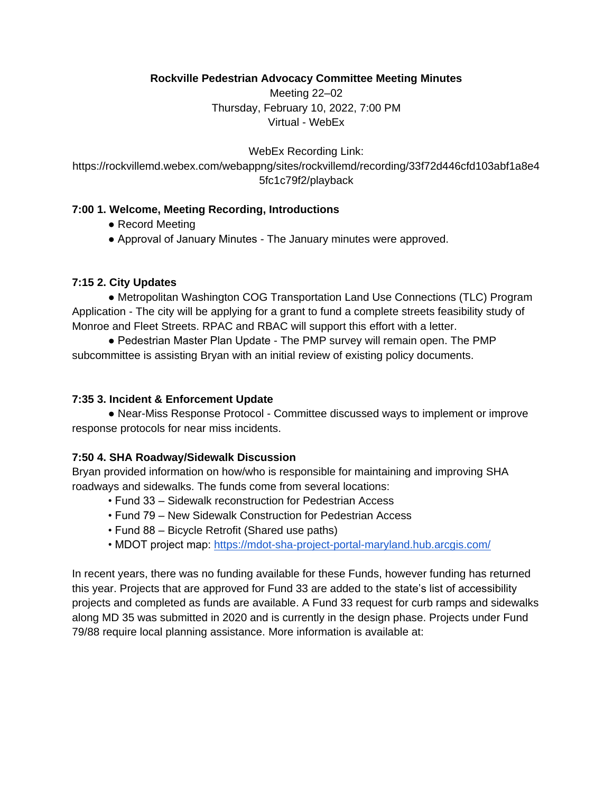## **Rockville Pedestrian Advocacy Committee Meeting Minutes**

Meeting 22–02 Thursday, February 10, 2022, 7:00 PM Virtual - WebEx

WebEx Recording Link: https://rockvillemd.webex.com/webappng/sites/rockvillemd/recording/33f72d446cfd103abf1a8e4 5fc1c79f2/playback

# **7:00 1. Welcome, Meeting Recording, Introductions**

- Record Meeting
- Approval of January Minutes The January minutes were approved.

# **7:15 2. City Updates**

**●** Metropolitan Washington COG Transportation Land Use Connections (TLC) Program Application - The city will be applying for a grant to fund a complete streets feasibility study of Monroe and Fleet Streets. RPAC and RBAC will support this effort with a letter.

● Pedestrian Master Plan Update - The PMP survey will remain open. The PMP subcommittee is assisting Bryan with an initial review of existing policy documents.

## **7:35 3. Incident & Enforcement Update**

**●** Near-Miss Response Protocol - Committee discussed ways to implement or improve response protocols for near miss incidents.

# **7:50 4. SHA Roadway/Sidewalk Discussion**

Bryan provided information on how/who is responsible for maintaining and improving SHA roadways and sidewalks. The funds come from several locations:

- Fund 33 Sidewalk reconstruction for Pedestrian Access
- Fund 79 New Sidewalk Construction for Pedestrian Access
- Fund 88 Bicycle Retrofit (Shared use paths)
- MDOT project map:<https://mdot-sha-project-portal-maryland.hub.arcgis.com/>

In recent years, there was no funding available for these Funds, however funding has returned this year. Projects that are approved for Fund 33 are added to the state's list of accessibility projects and completed as funds are available. A Fund 33 request for curb ramps and sidewalks along MD 35 was submitted in 2020 and is currently in the design phase. Projects under Fund 79/88 require local planning assistance. More information is available at: